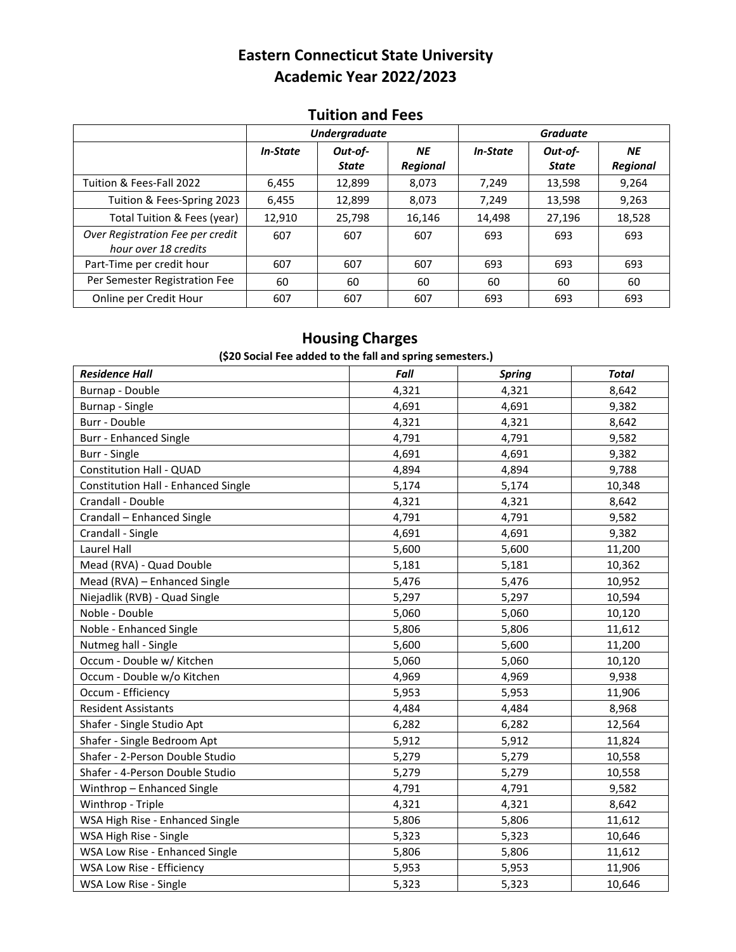# **Eastern Connecticut State University Academic Year 2022/2023**

#### **Tuition and Fees**

|                                                          | <b>Undergraduate</b> |                         |                              | <b>Graduate</b> |                         |                              |
|----------------------------------------------------------|----------------------|-------------------------|------------------------------|-----------------|-------------------------|------------------------------|
|                                                          | <i>In-State</i>      | Out-of-<br><b>State</b> | <b>NE</b><br><b>Regional</b> | <b>In-State</b> | Out-of-<br><b>State</b> | <b>NE</b><br><b>Regional</b> |
| Tuition & Fees-Fall 2022                                 | 6,455                | 12,899                  | 8,073                        | 7,249           | 13,598                  | 9,264                        |
| Tuition & Fees-Spring 2023                               | 6,455                | 12,899                  | 8,073                        | 7.249           | 13,598                  | 9,263                        |
| Total Tuition & Fees (year)                              | 12,910               | 25,798                  | 16,146                       | 14,498          | 27,196                  | 18,528                       |
| Over Registration Fee per credit<br>hour over 18 credits | 607                  | 607                     | 607                          | 693             | 693                     | 693                          |
| Part-Time per credit hour                                | 607                  | 607                     | 607                          | 693             | 693                     | 693                          |
| Per Semester Registration Fee                            | 60                   | 60                      | 60                           | 60              | 60                      | 60                           |
| Online per Credit Hour                                   | 607                  | 607                     | 607                          | 693             | 693                     | 693                          |

### **Housing Charges**

#### **(\$20 Social Fee added to the fall and spring semesters.)**

| <b>Residence Hall</b>                      | Fall  | <b>Spring</b> | Total  |
|--------------------------------------------|-------|---------------|--------|
| Burnap - Double                            | 4,321 | 4,321         | 8,642  |
| Burnap - Single                            | 4,691 | 4,691         | 9,382  |
| Burr - Double                              | 4,321 | 4,321         | 8,642  |
| <b>Burr - Enhanced Single</b>              | 4,791 | 4,791         | 9,582  |
| Burr - Single                              | 4,691 | 4,691         | 9,382  |
| <b>Constitution Hall - QUAD</b>            | 4,894 | 4,894         | 9,788  |
| <b>Constitution Hall - Enhanced Single</b> | 5,174 | 5,174         | 10,348 |
| Crandall - Double                          | 4,321 | 4,321         | 8,642  |
| Crandall - Enhanced Single                 | 4,791 | 4,791         | 9,582  |
| Crandall - Single                          | 4,691 | 4,691         | 9,382  |
| Laurel Hall                                | 5,600 | 5,600         | 11,200 |
| Mead (RVA) - Quad Double                   | 5,181 | 5,181         | 10,362 |
| Mead (RVA) - Enhanced Single               | 5,476 | 5,476         | 10,952 |
| Niejadlik (RVB) - Quad Single              | 5,297 | 5,297         | 10,594 |
| Noble - Double                             | 5,060 | 5,060         | 10,120 |
| Noble - Enhanced Single                    | 5,806 | 5,806         | 11,612 |
| Nutmeg hall - Single                       | 5,600 | 5,600         | 11,200 |
| Occum - Double w/ Kitchen                  | 5,060 | 5,060         | 10,120 |
| Occum - Double w/o Kitchen                 | 4,969 | 4,969         | 9,938  |
| Occum - Efficiency                         | 5,953 | 5,953         | 11,906 |
| <b>Resident Assistants</b>                 | 4,484 | 4,484         | 8,968  |
| Shafer - Single Studio Apt                 | 6,282 | 6,282         | 12,564 |
| Shafer - Single Bedroom Apt                | 5,912 | 5,912         | 11,824 |
| Shafer - 2-Person Double Studio            | 5,279 | 5,279         | 10,558 |
| Shafer - 4-Person Double Studio            | 5,279 | 5,279         | 10,558 |
| Winthrop - Enhanced Single                 | 4,791 | 4,791         | 9,582  |
| Winthrop - Triple                          | 4,321 | 4,321         | 8,642  |
| WSA High Rise - Enhanced Single            | 5,806 | 5,806         | 11,612 |
| WSA High Rise - Single                     | 5,323 | 5,323         | 10,646 |
| WSA Low Rise - Enhanced Single             | 5,806 | 5,806         | 11,612 |
| WSA Low Rise - Efficiency                  | 5,953 | 5,953         | 11,906 |
| WSA Low Rise - Single                      | 5,323 | 5,323         | 10,646 |